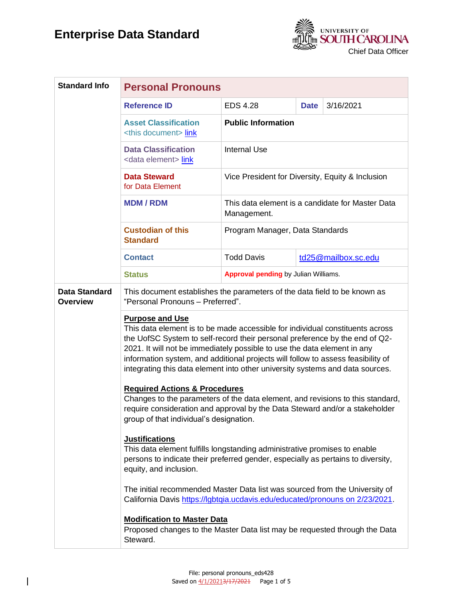

| <b>Standard Info</b>                    | <b>Personal Pronouns</b>                                                                                                                                                                                                                                                                                                                                                                                                                |                                                                 |             |                     |
|-----------------------------------------|-----------------------------------------------------------------------------------------------------------------------------------------------------------------------------------------------------------------------------------------------------------------------------------------------------------------------------------------------------------------------------------------------------------------------------------------|-----------------------------------------------------------------|-------------|---------------------|
|                                         | <b>Reference ID</b>                                                                                                                                                                                                                                                                                                                                                                                                                     | <b>EDS 4.28</b>                                                 | <b>Date</b> | 3/16/2021           |
|                                         | <b>Asset Classification</b><br><this document=""> link</this>                                                                                                                                                                                                                                                                                                                                                                           | <b>Public Information</b>                                       |             |                     |
|                                         | <b>Data Classification</b><br><data element=""> link</data>                                                                                                                                                                                                                                                                                                                                                                             | <b>Internal Use</b>                                             |             |                     |
|                                         | <b>Data Steward</b><br>for Data Element                                                                                                                                                                                                                                                                                                                                                                                                 | Vice President for Diversity, Equity & Inclusion                |             |                     |
|                                         | <b>MDM/RDM</b>                                                                                                                                                                                                                                                                                                                                                                                                                          | This data element is a candidate for Master Data<br>Management. |             |                     |
|                                         | <b>Custodian of this</b><br><b>Standard</b>                                                                                                                                                                                                                                                                                                                                                                                             | Program Manager, Data Standards                                 |             |                     |
|                                         | <b>Contact</b>                                                                                                                                                                                                                                                                                                                                                                                                                          | <b>Todd Davis</b>                                               |             | td25@mailbox.sc.edu |
|                                         | <b>Status</b>                                                                                                                                                                                                                                                                                                                                                                                                                           | Approval pending by Julian Williams.                            |             |                     |
| <b>Data Standard</b><br><b>Overview</b> | This document establishes the parameters of the data field to be known as<br>"Personal Pronouns - Preferred".                                                                                                                                                                                                                                                                                                                           |                                                                 |             |                     |
|                                         | <b>Purpose and Use</b><br>This data element is to be made accessible for individual constituents across<br>the UofSC System to self-record their personal preference by the end of Q2-<br>2021. It will not be immediately possible to use the data element in any<br>information system, and additional projects will follow to assess feasibility of<br>integrating this data element into other university systems and data sources. |                                                                 |             |                     |
|                                         | <b>Required Actions &amp; Procedures</b><br>Changes to the parameters of the data element, and revisions to this standard,<br>require consideration and approval by the Data Steward and/or a stakeholder<br>group of that individual's designation.                                                                                                                                                                                    |                                                                 |             |                     |
|                                         | <b>Justifications</b><br>This data element fulfills longstanding administrative promises to enable<br>persons to indicate their preferred gender, especially as pertains to diversity,<br>equity, and inclusion.                                                                                                                                                                                                                        |                                                                 |             |                     |
|                                         | The initial recommended Master Data list was sourced from the University of<br>California Davis https://lgbtqia.ucdavis.edu/educated/pronouns on 2/23/2021.                                                                                                                                                                                                                                                                             |                                                                 |             |                     |
|                                         | <b>Modification to Master Data</b><br>Proposed changes to the Master Data list may be requested through the Data<br>Steward.                                                                                                                                                                                                                                                                                                            |                                                                 |             |                     |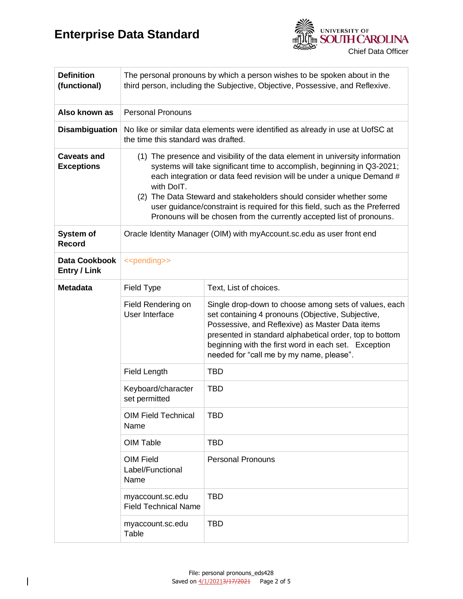

| <b>Definition</b><br>(functional)       | The personal pronouns by which a person wishes to be spoken about in the<br>third person, including the Subjective, Objective, Possessive, and Reflexive.                                                                                                                                                                                                                                                                                                                     |                                                                                                                                                                                                                                                                                                                              |  |
|-----------------------------------------|-------------------------------------------------------------------------------------------------------------------------------------------------------------------------------------------------------------------------------------------------------------------------------------------------------------------------------------------------------------------------------------------------------------------------------------------------------------------------------|------------------------------------------------------------------------------------------------------------------------------------------------------------------------------------------------------------------------------------------------------------------------------------------------------------------------------|--|
| Also known as                           | <b>Personal Pronouns</b>                                                                                                                                                                                                                                                                                                                                                                                                                                                      |                                                                                                                                                                                                                                                                                                                              |  |
| <b>Disambiguation</b>                   | No like or similar data elements were identified as already in use at UofSC at<br>the time this standard was drafted.                                                                                                                                                                                                                                                                                                                                                         |                                                                                                                                                                                                                                                                                                                              |  |
| <b>Caveats and</b><br><b>Exceptions</b> | (1) The presence and visibility of the data element in university information<br>systems will take significant time to accomplish, beginning in Q3-2021;<br>each integration or data feed revision will be under a unique Demand #<br>with DoIT.<br>(2) The Data Steward and stakeholders should consider whether some<br>user guidance/constraint is required for this field, such as the Preferred<br>Pronouns will be chosen from the currently accepted list of pronouns. |                                                                                                                                                                                                                                                                                                                              |  |
| System of<br><b>Record</b>              | Oracle Identity Manager (OIM) with myAccount.sc.edu as user front end                                                                                                                                                                                                                                                                                                                                                                                                         |                                                                                                                                                                                                                                                                                                                              |  |
| Data Cookbook<br><b>Entry / Link</b>    | < <pending>&gt;</pending>                                                                                                                                                                                                                                                                                                                                                                                                                                                     |                                                                                                                                                                                                                                                                                                                              |  |
| <b>Metadata</b>                         | Field Type                                                                                                                                                                                                                                                                                                                                                                                                                                                                    | Text, List of choices.                                                                                                                                                                                                                                                                                                       |  |
|                                         | Field Rendering on<br>User Interface                                                                                                                                                                                                                                                                                                                                                                                                                                          | Single drop-down to choose among sets of values, each<br>set containing 4 pronouns (Objective, Subjective,<br>Possessive, and Reflexive) as Master Data items<br>presented in standard alphabetical order, top to bottom<br>beginning with the first word in each set. Exception<br>needed for "call me by my name, please". |  |
|                                         | <b>Field Length</b>                                                                                                                                                                                                                                                                                                                                                                                                                                                           | <b>TBD</b>                                                                                                                                                                                                                                                                                                                   |  |
|                                         | Keyboard/character<br>set permitted                                                                                                                                                                                                                                                                                                                                                                                                                                           | <b>TBD</b>                                                                                                                                                                                                                                                                                                                   |  |
|                                         | <b>OIM Field Technical</b><br>Name                                                                                                                                                                                                                                                                                                                                                                                                                                            | <b>TBD</b>                                                                                                                                                                                                                                                                                                                   |  |
|                                         | OIM Table                                                                                                                                                                                                                                                                                                                                                                                                                                                                     | <b>TBD</b>                                                                                                                                                                                                                                                                                                                   |  |
|                                         | <b>OIM Field</b><br>Label/Functional<br>Name                                                                                                                                                                                                                                                                                                                                                                                                                                  | <b>Personal Pronouns</b>                                                                                                                                                                                                                                                                                                     |  |
|                                         | myaccount.sc.edu<br><b>Field Technical Name</b>                                                                                                                                                                                                                                                                                                                                                                                                                               | <b>TBD</b>                                                                                                                                                                                                                                                                                                                   |  |
|                                         | myaccount.sc.edu<br>Table                                                                                                                                                                                                                                                                                                                                                                                                                                                     | <b>TBD</b>                                                                                                                                                                                                                                                                                                                   |  |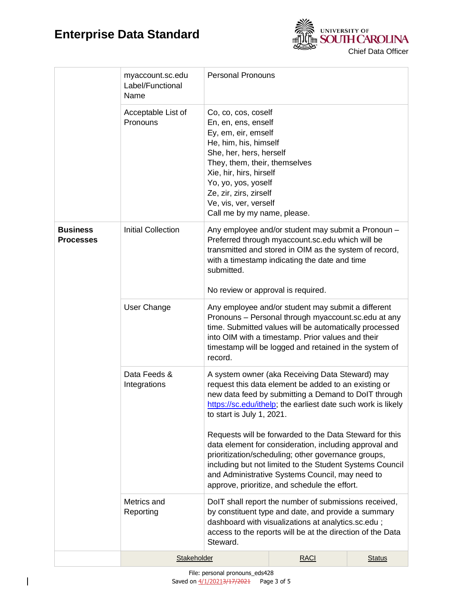

|                                     | myaccount.sc.edu<br>Label/Functional<br>Name | <b>Personal Pronouns</b>                                                                                                                                                                                                                                                                      |                                                                                                                                                                                                                                                                                                                                                                                                                                                                                                                                                                                                          |               |  |
|-------------------------------------|----------------------------------------------|-----------------------------------------------------------------------------------------------------------------------------------------------------------------------------------------------------------------------------------------------------------------------------------------------|----------------------------------------------------------------------------------------------------------------------------------------------------------------------------------------------------------------------------------------------------------------------------------------------------------------------------------------------------------------------------------------------------------------------------------------------------------------------------------------------------------------------------------------------------------------------------------------------------------|---------------|--|
|                                     | Acceptable List of<br>Pronouns               | Co, co, cos, coself<br>En, en, ens, enself<br>Ey, em, eir, emself<br>He, him, his, himself<br>She, her, hers, herself<br>They, them, their, themselves<br>Xie, hir, hirs, hirself<br>Yo, yo, yos, yoself<br>Ze, zir, zirs, zirself<br>Ve, vis, ver, verself<br>Call me by my name, please.    |                                                                                                                                                                                                                                                                                                                                                                                                                                                                                                                                                                                                          |               |  |
| <b>Business</b><br><b>Processes</b> | <b>Initial Collection</b>                    | submitted.<br>No review or approval is required.                                                                                                                                                                                                                                              | Any employee and/or student may submit a Pronoun -<br>Preferred through myaccount.sc.edu which will be<br>transmitted and stored in OIM as the system of record,<br>with a timestamp indicating the date and time                                                                                                                                                                                                                                                                                                                                                                                        |               |  |
|                                     | User Change                                  | Any employee and/or student may submit a different<br>Pronouns - Personal through myaccount.sc.edu at any<br>time. Submitted values will be automatically processed<br>into OIM with a timestamp. Prior values and their<br>timestamp will be logged and retained in the system of<br>record. |                                                                                                                                                                                                                                                                                                                                                                                                                                                                                                                                                                                                          |               |  |
|                                     | Data Feeds &<br>Integrations                 |                                                                                                                                                                                                                                                                                               | A system owner (aka Receiving Data Steward) may<br>request this data element be added to an existing or<br>new data feed by submitting a Demand to DoIT through<br>https://sc.edu/ithelp; the earliest date such work is likely<br>to start is July 1, 2021.<br>Requests will be forwarded to the Data Steward for this<br>data element for consideration, including approval and<br>prioritization/scheduling; other governance groups,<br>including but not limited to the Student Systems Council<br>and Administrative Systems Council, may need to<br>approve, prioritize, and schedule the effort. |               |  |
|                                     | Metrics and<br>Reporting                     | DoIT shall report the number of submissions received,<br>by constituent type and date, and provide a summary<br>dashboard with visualizations at analytics.sc.edu;<br>access to the reports will be at the direction of the Data<br>Steward.                                                  |                                                                                                                                                                                                                                                                                                                                                                                                                                                                                                                                                                                                          |               |  |
|                                     | Stakeholder                                  |                                                                                                                                                                                                                                                                                               | <b>RACI</b>                                                                                                                                                                                                                                                                                                                                                                                                                                                                                                                                                                                              | <b>Status</b> |  |

 $\overline{\phantom{a}}$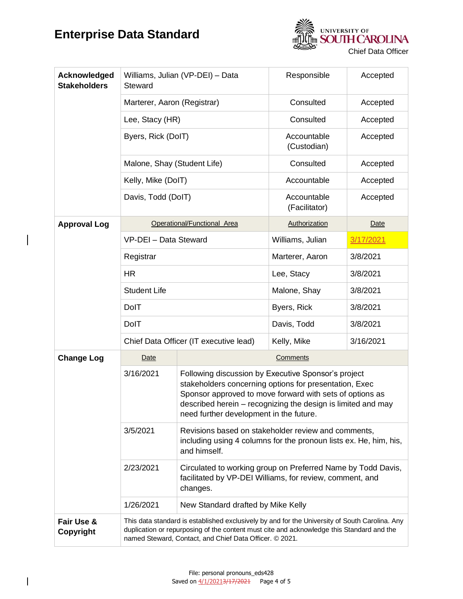$\overline{\phantom{a}}$ 

 $\mathbf{I}$ 



| Acknowledged<br><b>Stakeholders</b> | Williams, Julian (VP-DEI) - Data<br>Steward                                                                                                                                                                                                            |                                                                                                                                                                                                                                                                                      | Responsible                  | Accepted  |  |
|-------------------------------------|--------------------------------------------------------------------------------------------------------------------------------------------------------------------------------------------------------------------------------------------------------|--------------------------------------------------------------------------------------------------------------------------------------------------------------------------------------------------------------------------------------------------------------------------------------|------------------------------|-----------|--|
|                                     | Marterer, Aaron (Registrar)                                                                                                                                                                                                                            |                                                                                                                                                                                                                                                                                      | Consulted                    | Accepted  |  |
|                                     |                                                                                                                                                                                                                                                        | Lee, Stacy (HR)                                                                                                                                                                                                                                                                      |                              | Accepted  |  |
|                                     | Byers, Rick (DoIT)                                                                                                                                                                                                                                     |                                                                                                                                                                                                                                                                                      | Accountable<br>(Custodian)   | Accepted  |  |
|                                     | Malone, Shay (Student Life)                                                                                                                                                                                                                            |                                                                                                                                                                                                                                                                                      | Consulted                    | Accepted  |  |
|                                     | Kelly, Mike (DoIT)<br>Davis, Todd (DoIT)                                                                                                                                                                                                               |                                                                                                                                                                                                                                                                                      | Accountable                  | Accepted  |  |
|                                     |                                                                                                                                                                                                                                                        |                                                                                                                                                                                                                                                                                      | Accountable<br>(Facilitator) | Accepted  |  |
| <b>Approval Log</b>                 | Operational/Functional Area                                                                                                                                                                                                                            |                                                                                                                                                                                                                                                                                      | Authorization                | Date      |  |
|                                     | VP-DEI - Data Steward                                                                                                                                                                                                                                  |                                                                                                                                                                                                                                                                                      | Williams, Julian             | 3/17/2021 |  |
|                                     | Registrar                                                                                                                                                                                                                                              |                                                                                                                                                                                                                                                                                      | Marterer, Aaron              | 3/8/2021  |  |
|                                     | <b>HR</b>                                                                                                                                                                                                                                              |                                                                                                                                                                                                                                                                                      | Lee, Stacy                   | 3/8/2021  |  |
|                                     | <b>Student Life</b>                                                                                                                                                                                                                                    |                                                                                                                                                                                                                                                                                      | Malone, Shay                 | 3/8/2021  |  |
|                                     | DolT                                                                                                                                                                                                                                                   |                                                                                                                                                                                                                                                                                      |                              | 3/8/2021  |  |
|                                     | DolT                                                                                                                                                                                                                                                   |                                                                                                                                                                                                                                                                                      | Davis, Todd                  | 3/8/2021  |  |
|                                     | Chief Data Officer (IT executive lead)                                                                                                                                                                                                                 |                                                                                                                                                                                                                                                                                      | Kelly, Mike<br>3/16/2021     |           |  |
| <b>Change Log</b>                   | <b>Date</b>                                                                                                                                                                                                                                            | Comments                                                                                                                                                                                                                                                                             |                              |           |  |
|                                     | 3/16/2021                                                                                                                                                                                                                                              | Following discussion by Executive Sponsor's project<br>stakeholders concerning options for presentation, Exec<br>Sponsor approved to move forward with sets of options as<br>described herein - recognizing the design is limited and may<br>need further development in the future. |                              |           |  |
|                                     | 3/5/2021                                                                                                                                                                                                                                               | Revisions based on stakeholder review and comments,<br>including using 4 columns for the pronoun lists ex. He, him, his,<br>and himself.                                                                                                                                             |                              |           |  |
|                                     | 2/23/2021                                                                                                                                                                                                                                              | Circulated to working group on Preferred Name by Todd Davis,<br>facilitated by VP-DEI Williams, for review, comment, and<br>changes.                                                                                                                                                 |                              |           |  |
|                                     | 1/26/2021                                                                                                                                                                                                                                              | New Standard drafted by Mike Kelly                                                                                                                                                                                                                                                   |                              |           |  |
| Fair Use &<br>Copyright             | This data standard is established exclusively by and for the University of South Carolina. Any<br>duplication or repurposing of the content must cite and acknowledge this Standard and the<br>named Steward, Contact, and Chief Data Officer. © 2021. |                                                                                                                                                                                                                                                                                      |                              |           |  |